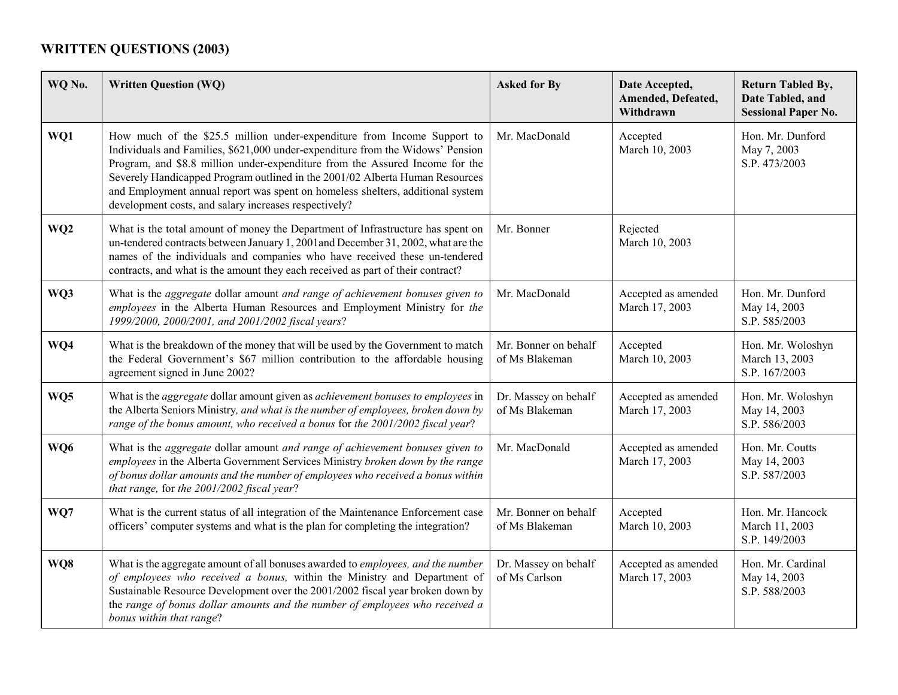## **WRITTEN QUESTIONS (2003)**

| WQ No.          | <b>Written Question (WQ)</b>                                                                                                                                                                                                                                                                                                                                                                                                                                         | <b>Asked for By</b>                    | Date Accepted,<br>Amended, Defeated,<br>Withdrawn | <b>Return Tabled By,</b><br>Date Tabled, and<br><b>Sessional Paper No.</b> |
|-----------------|----------------------------------------------------------------------------------------------------------------------------------------------------------------------------------------------------------------------------------------------------------------------------------------------------------------------------------------------------------------------------------------------------------------------------------------------------------------------|----------------------------------------|---------------------------------------------------|----------------------------------------------------------------------------|
| WQ1             | How much of the \$25.5 million under-expenditure from Income Support to<br>Individuals and Families, \$621,000 under-expenditure from the Widows' Pension<br>Program, and \$8.8 million under-expenditure from the Assured Income for the<br>Severely Handicapped Program outlined in the 2001/02 Alberta Human Resources<br>and Employment annual report was spent on homeless shelters, additional system<br>development costs, and salary increases respectively? | Mr. MacDonald                          | Accepted<br>March 10, 2003                        | Hon. Mr. Dunford<br>May 7, 2003<br>S.P. 473/2003                           |
| WQ <sub>2</sub> | What is the total amount of money the Department of Infrastructure has spent on<br>un-tendered contracts between January 1, 2001 and December 31, 2002, what are the<br>names of the individuals and companies who have received these un-tendered<br>contracts, and what is the amount they each received as part of their contract?                                                                                                                                | Mr. Bonner                             | Rejected<br>March 10, 2003                        |                                                                            |
| WQ3             | What is the aggregate dollar amount and range of achievement bonuses given to<br>employees in the Alberta Human Resources and Employment Ministry for the<br>1999/2000, 2000/2001, and 2001/2002 fiscal years?                                                                                                                                                                                                                                                       | Mr. MacDonald                          | Accepted as amended<br>March 17, 2003             | Hon. Mr. Dunford<br>May 14, 2003<br>S.P. 585/2003                          |
| WQ4             | What is the breakdown of the money that will be used by the Government to match<br>the Federal Government's \$67 million contribution to the affordable housing<br>agreement signed in June 2002?                                                                                                                                                                                                                                                                    | Mr. Bonner on behalf<br>of Ms Blakeman | Accepted<br>March 10, 2003                        | Hon. Mr. Woloshyn<br>March 13, 2003<br>S.P. 167/2003                       |
| WQ5             | What is the <i>aggregate</i> dollar amount given as <i>achievement bonuses to employees</i> in<br>the Alberta Seniors Ministry, and what is the number of employees, broken down by<br>range of the bonus amount, who received a bonus for the 2001/2002 fiscal year?                                                                                                                                                                                                | Dr. Massey on behalf<br>of Ms Blakeman | Accepted as amended<br>March 17, 2003             | Hon. Mr. Woloshyn<br>May 14, 2003<br>S.P. 586/2003                         |
| WQ6             | What is the aggregate dollar amount and range of achievement bonuses given to<br>employees in the Alberta Government Services Ministry broken down by the range<br>of bonus dollar amounts and the number of employees who received a bonus within<br>that range, for the 2001/2002 fiscal year?                                                                                                                                                                     | Mr. MacDonald                          | Accepted as amended<br>March 17, 2003             | Hon. Mr. Coutts<br>May 14, 2003<br>S.P. 587/2003                           |
| WQ7             | What is the current status of all integration of the Maintenance Enforcement case<br>officers' computer systems and what is the plan for completing the integration?                                                                                                                                                                                                                                                                                                 | Mr. Bonner on behalf<br>of Ms Blakeman | Accepted<br>March 10, 2003                        | Hon. Mr. Hancock<br>March 11, 2003<br>S.P. 149/2003                        |
| WQ8             | What is the aggregate amount of all bonuses awarded to employees, and the number<br>of employees who received a bonus, within the Ministry and Department of<br>Sustainable Resource Development over the 2001/2002 fiscal year broken down by<br>the range of bonus dollar amounts and the number of employees who received a<br>bonus within that range?                                                                                                           | Dr. Massey on behalf<br>of Ms Carlson  | Accepted as amended<br>March 17, 2003             | Hon. Mr. Cardinal<br>May 14, 2003<br>S.P. 588/2003                         |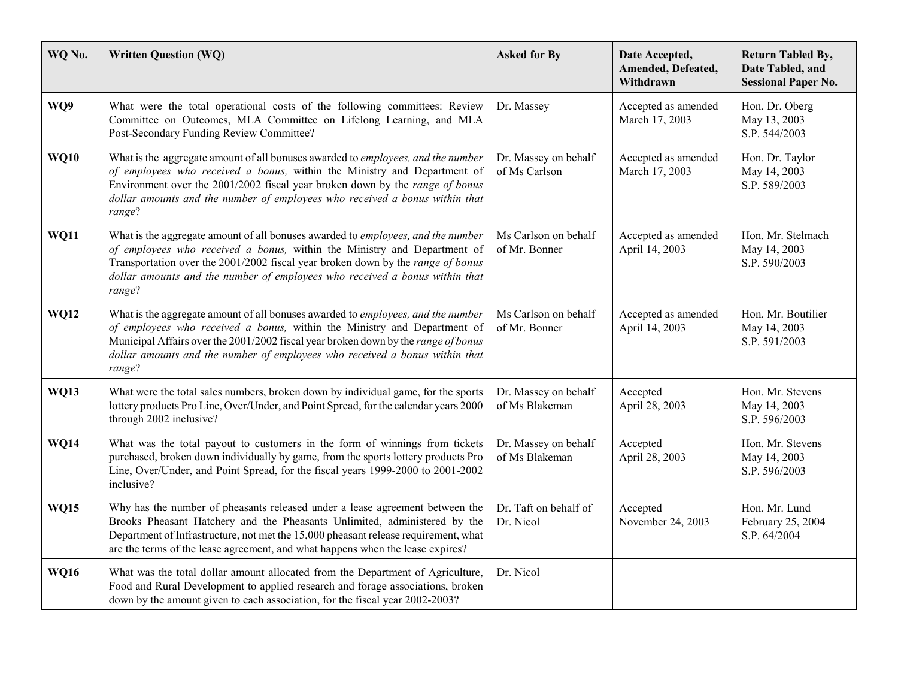| WQ No.      | <b>Written Question (WQ)</b>                                                                                                                                                                                                                                                                                                                | <b>Asked for By</b>                    | Date Accepted,<br>Amended, Defeated,<br>Withdrawn | <b>Return Tabled By,</b><br>Date Tabled, and<br><b>Sessional Paper No.</b> |
|-------------|---------------------------------------------------------------------------------------------------------------------------------------------------------------------------------------------------------------------------------------------------------------------------------------------------------------------------------------------|----------------------------------------|---------------------------------------------------|----------------------------------------------------------------------------|
| WQ9         | What were the total operational costs of the following committees: Review<br>Committee on Outcomes, MLA Committee on Lifelong Learning, and MLA<br>Post-Secondary Funding Review Committee?                                                                                                                                                 | Dr. Massey                             | Accepted as amended<br>March 17, 2003             | Hon. Dr. Oberg<br>May 13, 2003<br>S.P. 544/2003                            |
| <b>WQ10</b> | What is the aggregate amount of all bonuses awarded to employees, and the number<br>of employees who received a bonus, within the Ministry and Department of<br>Environment over the 2001/2002 fiscal year broken down by the range of bonus<br>dollar amounts and the number of employees who received a bonus within that<br>range?       | Dr. Massey on behalf<br>of Ms Carlson  | Accepted as amended<br>March 17, 2003             | Hon. Dr. Taylor<br>May 14, 2003<br>S.P. 589/2003                           |
| <b>WQ11</b> | What is the aggregate amount of all bonuses awarded to employees, and the number<br>of employees who received a bonus, within the Ministry and Department of<br>Transportation over the 2001/2002 fiscal year broken down by the range of bonus<br>dollar amounts and the number of employees who received a bonus within that<br>range?    | Ms Carlson on behalf<br>of Mr. Bonner  | Accepted as amended<br>April 14, 2003             | Hon. Mr. Stelmach<br>May 14, 2003<br>S.P. 590/2003                         |
| <b>WQ12</b> | What is the aggregate amount of all bonuses awarded to employees, and the number<br>of employees who received a bonus, within the Ministry and Department of<br>Municipal Affairs over the 2001/2002 fiscal year broken down by the range of bonus<br>dollar amounts and the number of employees who received a bonus within that<br>range? | Ms Carlson on behalf<br>of Mr. Bonner  | Accepted as amended<br>April 14, 2003             | Hon. Mr. Boutilier<br>May 14, 2003<br>S.P. 591/2003                        |
| <b>WQ13</b> | What were the total sales numbers, broken down by individual game, for the sports<br>lottery products Pro Line, Over/Under, and Point Spread, for the calendar years 2000<br>through 2002 inclusive?                                                                                                                                        | Dr. Massey on behalf<br>of Ms Blakeman | Accepted<br>April 28, 2003                        | Hon. Mr. Stevens<br>May 14, 2003<br>S.P. 596/2003                          |
| <b>WQ14</b> | What was the total payout to customers in the form of winnings from tickets<br>purchased, broken down individually by game, from the sports lottery products Pro<br>Line, Over/Under, and Point Spread, for the fiscal years 1999-2000 to 2001-2002<br>inclusive?                                                                           | Dr. Massey on behalf<br>of Ms Blakeman | Accepted<br>April 28, 2003                        | Hon. Mr. Stevens<br>May 14, 2003<br>S.P. 596/2003                          |
| <b>WQ15</b> | Why has the number of pheasants released under a lease agreement between the<br>Brooks Pheasant Hatchery and the Pheasants Unlimited, administered by the<br>Department of Infrastructure, not met the 15,000 pheasant release requirement, what<br>are the terms of the lease agreement, and what happens when the lease expires?          | Dr. Taft on behalf of<br>Dr. Nicol     | Accepted<br>November 24, 2003                     | Hon. Mr. Lund<br>February 25, 2004<br>S.P. 64/2004                         |
| <b>WQ16</b> | What was the total dollar amount allocated from the Department of Agriculture,<br>Food and Rural Development to applied research and forage associations, broken<br>down by the amount given to each association, for the fiscal year 2002-2003?                                                                                            | Dr. Nicol                              |                                                   |                                                                            |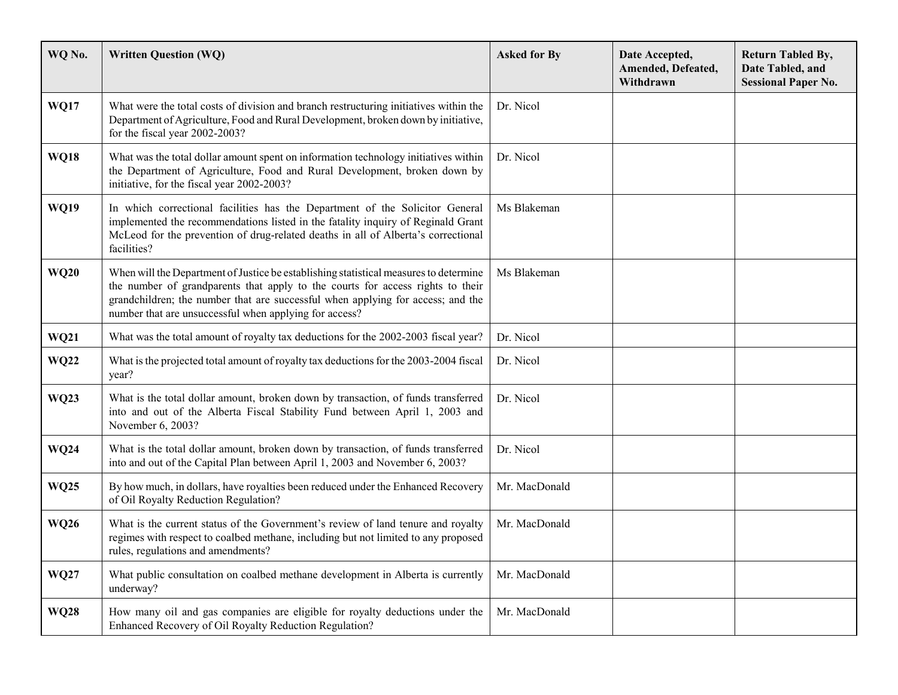| WQ No.      | <b>Written Question (WQ)</b>                                                                                                                                                                                                                                                                                         | <b>Asked for By</b> | Date Accepted,<br>Amended, Defeated,<br>Withdrawn | <b>Return Tabled By,</b><br>Date Tabled, and<br><b>Sessional Paper No.</b> |
|-------------|----------------------------------------------------------------------------------------------------------------------------------------------------------------------------------------------------------------------------------------------------------------------------------------------------------------------|---------------------|---------------------------------------------------|----------------------------------------------------------------------------|
| <b>WQ17</b> | What were the total costs of division and branch restructuring initiatives within the<br>Department of Agriculture, Food and Rural Development, broken down by initiative,<br>for the fiscal year 2002-2003?                                                                                                         | Dr. Nicol           |                                                   |                                                                            |
| <b>WQ18</b> | What was the total dollar amount spent on information technology initiatives within<br>the Department of Agriculture, Food and Rural Development, broken down by<br>initiative, for the fiscal year 2002-2003?                                                                                                       | Dr. Nicol           |                                                   |                                                                            |
| <b>WQ19</b> | In which correctional facilities has the Department of the Solicitor General<br>implemented the recommendations listed in the fatality inquiry of Reginald Grant<br>McLeod for the prevention of drug-related deaths in all of Alberta's correctional<br>facilities?                                                 | Ms Blakeman         |                                                   |                                                                            |
| <b>WQ20</b> | When will the Department of Justice be establishing statistical measures to determine<br>the number of grandparents that apply to the courts for access rights to their<br>grandchildren; the number that are successful when applying for access; and the<br>number that are unsuccessful when applying for access? | Ms Blakeman         |                                                   |                                                                            |
| <b>WQ21</b> | What was the total amount of royalty tax deductions for the 2002-2003 fiscal year?                                                                                                                                                                                                                                   | Dr. Nicol           |                                                   |                                                                            |
| <b>WQ22</b> | What is the projected total amount of royalty tax deductions for the 2003-2004 fiscal<br>year?                                                                                                                                                                                                                       | Dr. Nicol           |                                                   |                                                                            |
| <b>WQ23</b> | What is the total dollar amount, broken down by transaction, of funds transferred<br>into and out of the Alberta Fiscal Stability Fund between April 1, 2003 and<br>November 6, 2003?                                                                                                                                | Dr. Nicol           |                                                   |                                                                            |
| <b>WQ24</b> | What is the total dollar amount, broken down by transaction, of funds transferred<br>into and out of the Capital Plan between April 1, 2003 and November 6, 2003?                                                                                                                                                    | Dr. Nicol           |                                                   |                                                                            |
| <b>WQ25</b> | By how much, in dollars, have royalties been reduced under the Enhanced Recovery<br>of Oil Royalty Reduction Regulation?                                                                                                                                                                                             | Mr. MacDonald       |                                                   |                                                                            |
| <b>WQ26</b> | What is the current status of the Government's review of land tenure and royalty<br>regimes with respect to coalbed methane, including but not limited to any proposed<br>rules, regulations and amendments?                                                                                                         | Mr. MacDonald       |                                                   |                                                                            |
| <b>WQ27</b> | What public consultation on coalbed methane development in Alberta is currently<br>underway?                                                                                                                                                                                                                         | Mr. MacDonald       |                                                   |                                                                            |
| <b>WQ28</b> | How many oil and gas companies are eligible for royalty deductions under the<br>Enhanced Recovery of Oil Royalty Reduction Regulation?                                                                                                                                                                               | Mr. MacDonald       |                                                   |                                                                            |